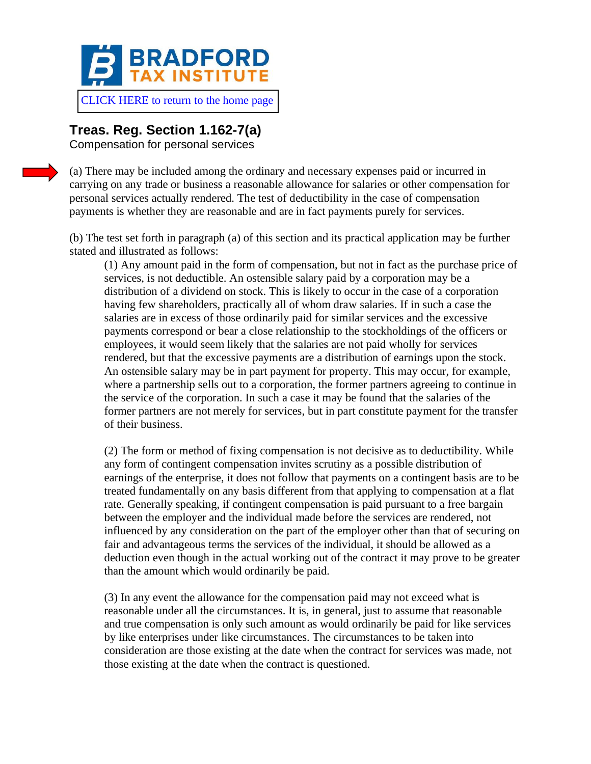

## **Treas. Reg. Section 1.162-7(a)**

Compensation for personal services

(a) There may be included among the ordinary and necessary expenses paid or incurred in carrying on any trade or business a reasonable allowance for salaries or other compensation for personal services actually rendered. The test of deductibility in the case of compensation payments is whether they are reasonable and are in fact payments purely for services.

(b) The test set forth in paragraph (a) of this section and its practical application may be further stated and illustrated as follows:

(1) Any amount paid in the form of compensation, but not in fact as the purchase price of services, is not deductible. An ostensible salary paid by a corporation may be a distribution of a dividend on stock. This is likely to occur in the case of a corporation having few shareholders, practically all of whom draw salaries. If in such a case the salaries are in excess of those ordinarily paid for similar services and the excessive payments correspond or bear a close relationship to the stockholdings of the officers or employees, it would seem likely that the salaries are not paid wholly for services rendered, but that the excessive payments are a distribution of earnings upon the stock. An ostensible salary may be in part payment for property. This may occur, for example, where a partnership sells out to a corporation, the former partners agreeing to continue in the service of the corporation. In such a case it may be found that the salaries of the former partners are not merely for services, but in part constitute payment for the transfer of their business.

(2) The form or method of fixing compensation is not decisive as to deductibility. While any form of contingent compensation invites scrutiny as a possible distribution of earnings of the enterprise, it does not follow that payments on a contingent basis are to be treated fundamentally on any basis different from that applying to compensation at a flat rate. Generally speaking, if contingent compensation is paid pursuant to a free bargain between the employer and the individual made before the services are rendered, not influenced by any consideration on the part of the employer other than that of securing on fair and advantageous terms the services of the individual, it should be allowed as a deduction even though in the actual working out of the contract it may prove to be greater than the amount which would ordinarily be paid.

(3) In any event the allowance for the compensation paid may not exceed what is reasonable under all the circumstances. It is, in general, just to assume that reasonable and true compensation is only such amount as would ordinarily be paid for like services by like enterprises under like circumstances. The circumstances to be taken into consideration are those existing at the date when the contract for services was made, not those existing at the date when the contract is questioned.